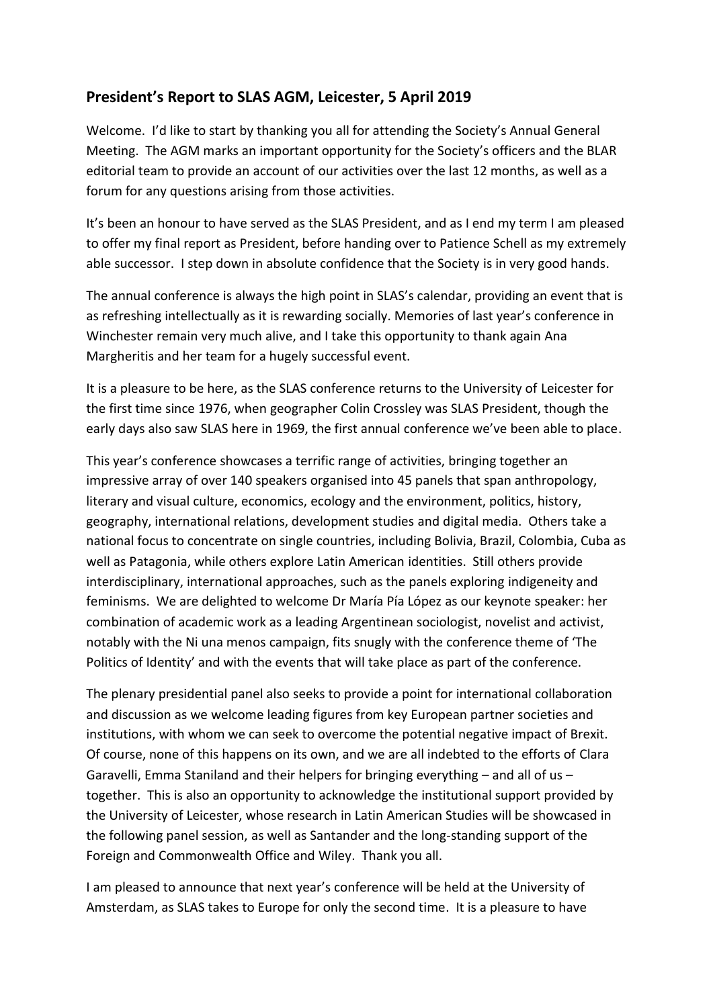## **President's Report to SLAS AGM, Leicester, 5 April 2019**

Welcome. I'd like to start by thanking you all for attending the Society's Annual General Meeting. The AGM marks an important opportunity for the Society's officers and the BLAR editorial team to provide an account of our activities over the last 12 months, as well as a forum for any questions arising from those activities.

It's been an honour to have served as the SLAS President, and as I end my term I am pleased to offer my final report as President, before handing over to Patience Schell as my extremely able successor. I step down in absolute confidence that the Society is in very good hands.

The annual conference is always the high point in SLAS's calendar, providing an event that is as refreshing intellectually as it is rewarding socially. Memories of last year's conference in Winchester remain very much alive, and I take this opportunity to thank again Ana Margheritis and her team for a hugely successful event.

It is a pleasure to be here, as the SLAS conference returns to the University of Leicester for the first time since 1976, when geographer Colin Crossley was SLAS President, though the early days also saw SLAS here in 1969, the first annual conference we've been able to place.

This year's conference showcases a terrific range of activities, bringing together an impressive array of over 140 speakers organised into 45 panels that span anthropology, literary and visual culture, economics, ecology and the environment, politics, history, geography, international relations, development studies and digital media. Others take a national focus to concentrate on single countries, including Bolivia, Brazil, Colombia, Cuba as well as Patagonia, while others explore Latin American identities. Still others provide interdisciplinary, international approaches, such as the panels exploring indigeneity and feminisms. We are delighted to welcome Dr María Pía López as our keynote speaker: her combination of academic work as a leading Argentinean sociologist, novelist and activist, notably with the Ni una menos campaign, fits snugly with the conference theme of 'The Politics of Identity' and with the events that will take place as part of the conference.

The plenary presidential panel also seeks to provide a point for international collaboration and discussion as we welcome leading figures from key European partner societies and institutions, with whom we can seek to overcome the potential negative impact of Brexit. Of course, none of this happens on its own, and we are all indebted to the efforts of Clara Garavelli, Emma Staniland and their helpers for bringing everything – and all of us – together. This is also an opportunity to acknowledge the institutional support provided by the University of Leicester, whose research in Latin American Studies will be showcased in the following panel session, as well as Santander and the long-standing support of the Foreign and Commonwealth Office and Wiley. Thank you all.

I am pleased to announce that next year's conference will be held at the University of Amsterdam, as SLAS takes to Europe for only the second time. It is a pleasure to have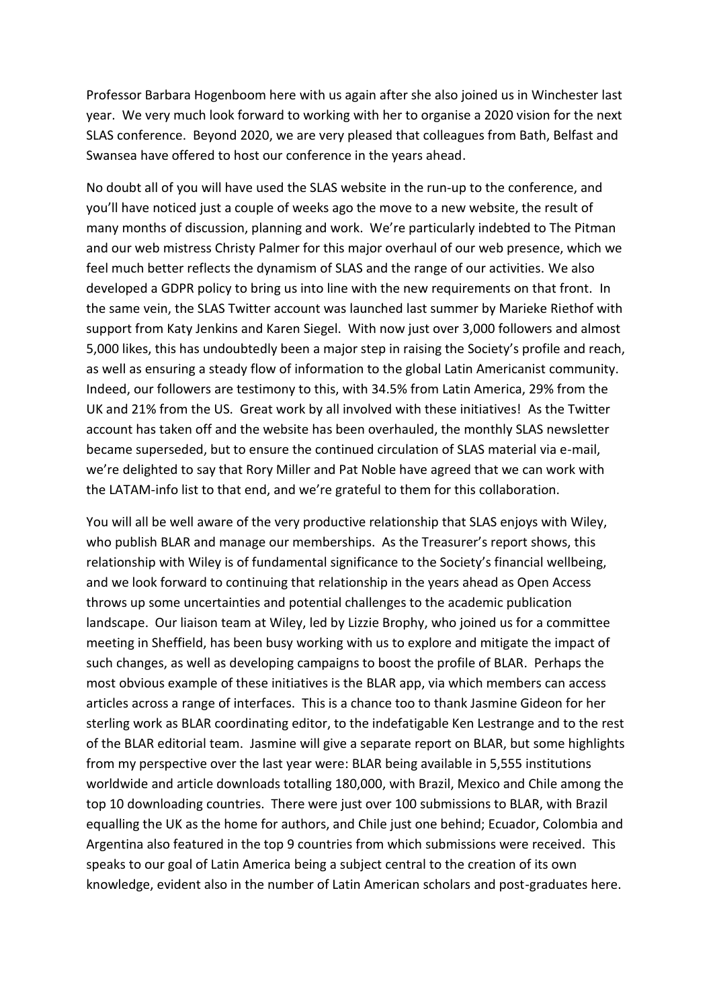Professor Barbara Hogenboom here with us again after she also joined us in Winchester last year. We very much look forward to working with her to organise a 2020 vision for the next SLAS conference. Beyond 2020, we are very pleased that colleagues from Bath, Belfast and Swansea have offered to host our conference in the years ahead.

No doubt all of you will have used the SLAS website in the run-up to the conference, and you'll have noticed just a couple of weeks ago the move to a new website, the result of many months of discussion, planning and work. We're particularly indebted to The Pitman and our web mistress Christy Palmer for this major overhaul of our web presence, which we feel much better reflects the dynamism of SLAS and the range of our activities. We also developed a GDPR policy to bring us into line with the new requirements on that front. In the same vein, the SLAS Twitter account was launched last summer by Marieke Riethof with support from Katy Jenkins and Karen Siegel. With now just over 3,000 followers and almost 5,000 likes, this has undoubtedly been a major step in raising the Society's profile and reach, as well as ensuring a steady flow of information to the global Latin Americanist community. Indeed, our followers are testimony to this, with 34.5% from Latin America, 29% from the UK and 21% from the US. Great work by all involved with these initiatives! As the Twitter account has taken off and the website has been overhauled, the monthly SLAS newsletter became superseded, but to ensure the continued circulation of SLAS material via e-mail, we're delighted to say that Rory Miller and Pat Noble have agreed that we can work with the LATAM-info list to that end, and we're grateful to them for this collaboration.

You will all be well aware of the very productive relationship that SLAS enjoys with Wiley, who publish BLAR and manage our memberships. As the Treasurer's report shows, this relationship with Wiley is of fundamental significance to the Society's financial wellbeing, and we look forward to continuing that relationship in the years ahead as Open Access throws up some uncertainties and potential challenges to the academic publication landscape. Our liaison team at Wiley, led by Lizzie Brophy, who joined us for a committee meeting in Sheffield, has been busy working with us to explore and mitigate the impact of such changes, as well as developing campaigns to boost the profile of BLAR. Perhaps the most obvious example of these initiatives is the BLAR app, via which members can access articles across a range of interfaces. This is a chance too to thank Jasmine Gideon for her sterling work as BLAR coordinating editor, to the indefatigable Ken Lestrange and to the rest of the BLAR editorial team. Jasmine will give a separate report on BLAR, but some highlights from my perspective over the last year were: BLAR being available in 5,555 institutions worldwide and article downloads totalling 180,000, with Brazil, Mexico and Chile among the top 10 downloading countries. There were just over 100 submissions to BLAR, with Brazil equalling the UK as the home for authors, and Chile just one behind; Ecuador, Colombia and Argentina also featured in the top 9 countries from which submissions were received. This speaks to our goal of Latin America being a subject central to the creation of its own knowledge, evident also in the number of Latin American scholars and post-graduates here.